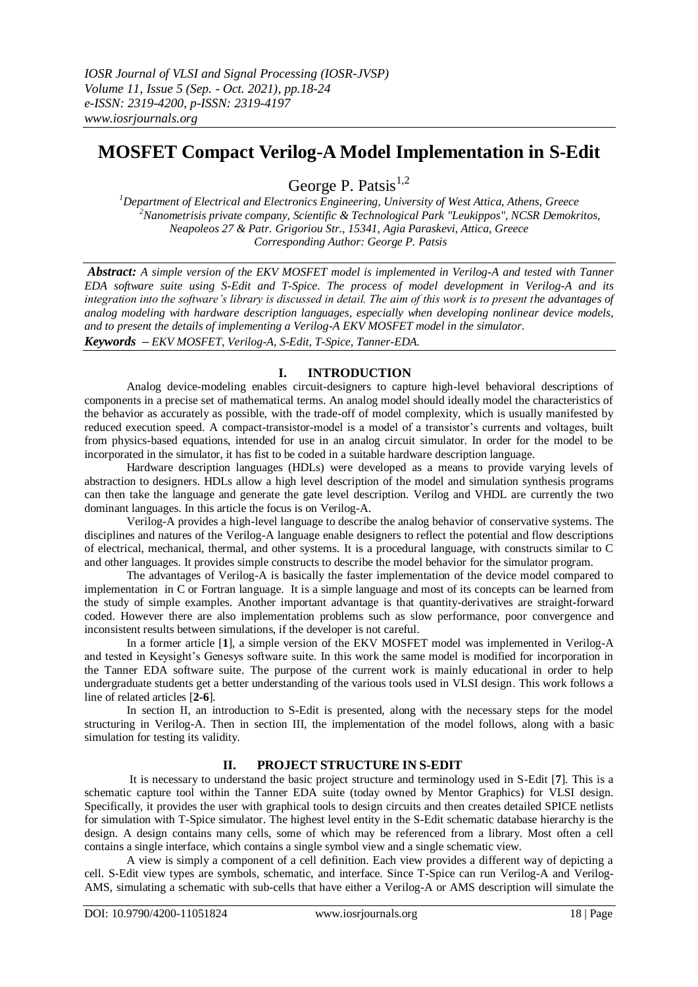# **MOSFET Compact Verilog-A Model Implementation in S-Edit**

George P. Patsis<sup>1,2</sup>

*<sup>1</sup>Department of Electrical and Electronics Engineering, University of West Attica, Athens, Greece <sup>2</sup>Nanometrisis private company, Scientific & Technological Park "Leukippos", NCSR Demokritos, Neapoleos 27 & Patr. Grigoriou Str., 15341, Agia Paraskevi, Attica, Greece Corresponding Author: George P. Patsis* 

*Abstract: A simple version of the EKV MOSFET model is implemented in Verilog-A and tested with Tanner EDA software suite using S-Edit and T-Spice. The process of model development in Verilog-A and its integration into the software's library is discussed in detail. The aim of this work is to present the advantages of analog modeling with hardware description languages, especially when developing nonlinear device models, and to present the details of implementing a Verilog-A EKV MOSFET model in the simulator. Keywords – EKV MOSFET, Verilog-A, S-Edit, T-Spice, Tanner-EDA.*

## **I. INTRODUCTION**

Analog device-modeling enables circuit-designers to capture high-level behavioral descriptions of components in a precise set of mathematical terms. An analog model should ideally model the characteristics of the behavior as accurately as possible, with the trade-off of model complexity, which is usually manifested by reduced execution speed. A compact-transistor-model is a model of a transistor's currents and voltages, built from physics-based equations, intended for use in an analog circuit simulator. In order for the model to be incorporated in the simulator, it has fist to be coded in a suitable hardware description language.

Hardware description languages (HDLs) were developed as a means to provide varying levels of abstraction to designers. HDLs allow a high level description of the model and simulation synthesis programs can then take the language and generate the gate level description. Verilog and VHDL are currently the two dominant languages. In this article the focus is on Verilog-A.

Verilog-A provides a high-level language to describe the analog behavior of conservative systems. The disciplines and natures of the Verilog-A language enable designers to reflect the potential and flow descriptions of electrical, mechanical, thermal, and other systems. It is a procedural language, with constructs similar to C and other languages. It provides simple constructs to describe the model behavior for the simulator program.

The advantages of Verilog-A is basically the faster implementation of the device model compared to implementation in C or Fortran language. It is a simple language and most of its concepts can be learned from the study of simple examples. Another important advantage is that quantity-derivatives are straight-forward coded. However there are also implementation problems such as slow performance, poor convergence and inconsistent results between simulations, if the developer is not careful.

In a former article [**1**], a simple version of the EKV MOSFET model was implemented in Verilog-A and tested in Keysight's Genesys software suite. In this work the same model is modified for incorporation in the Tanner EDA software suite. The purpose of the current work is mainly educational in order to help undergraduate students get a better understanding of the various tools used in VLSI design. This work follows a line of related articles [**2-6**].

In section II, an introduction to S-Edit is presented, along with the necessary steps for the model structuring in Verilog-A. Then in section III, the implementation of the model follows, along with a basic simulation for testing its validity.

## **II. PROJECT STRUCTURE IN S-EDIT**

It is necessary to understand the basic project structure and terminology used in S-Edit [**7**]. This is a schematic capture tool within the Tanner EDA suite (today owned by Mentor Graphics) for VLSI design. Specifically, it provides the user with graphical tools to design circuits and then creates detailed SPICE netlists for simulation with T-Spice simulator. The highest level entity in the S-Edit schematic database hierarchy is the design. A design contains many cells, some of which may be referenced from a library. Most often a cell contains a single interface, which contains a single symbol view and a single schematic view.

A view is simply a component of a cell definition. Each view provides a different way of depicting a cell. S-Edit view types are symbols, schematic, and interface. Since T-Spice can run Verilog-A and Verilog-AMS, simulating a schematic with sub-cells that have either a Verilog-A or AMS description will simulate the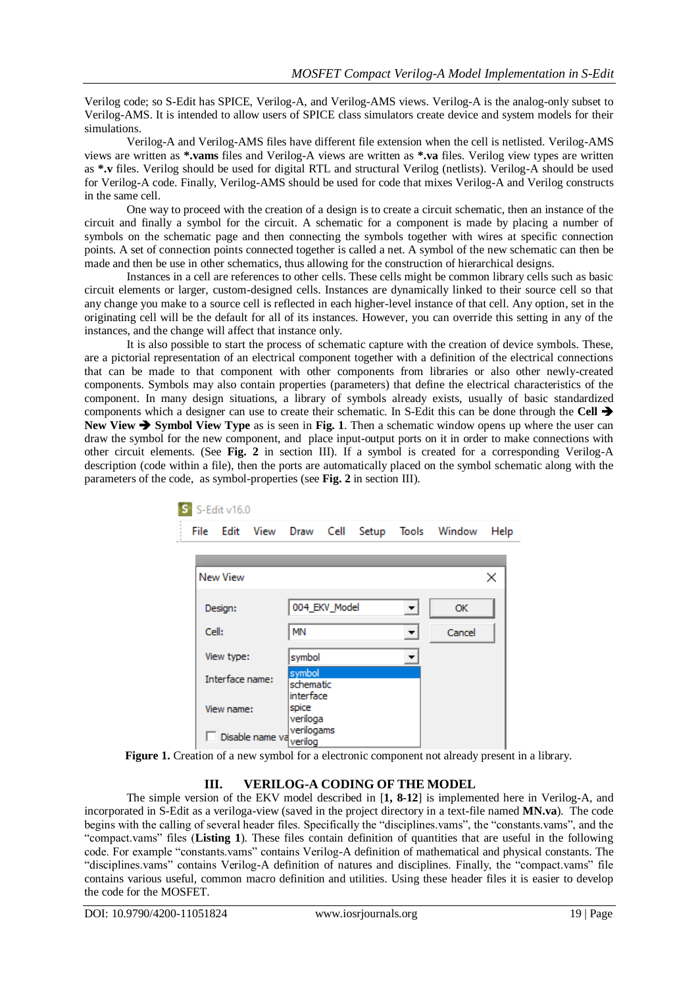Verilog code; so S-Edit has SPICE, Verilog-A, and Verilog-AMS views. Verilog-A is the analog-only subset to Verilog-AMS. It is intended to allow users of SPICE class simulators create device and system models for their simulations.

Verilog-A and Verilog-AMS files have different file extension when the cell is netlisted. Verilog-AMS views are written as **\*.vams** files and Verilog-A views are written as **\*.va** files. Verilog view types are written as **\*.v** files. Verilog should be used for digital RTL and structural Verilog (netlists). Verilog-A should be used for Verilog-A code. Finally, Verilog-AMS should be used for code that mixes Verilog-A and Verilog constructs in the same cell.

One way to proceed with the creation of a design is to create a circuit schematic, then an instance of the circuit and finally a symbol for the circuit. A schematic for a component is made by placing a number of symbols on the schematic page and then connecting the symbols together with wires at specific connection points. A set of connection points connected together is called a net. A symbol of the new schematic can then be made and then be use in other schematics, thus allowing for the construction of hierarchical designs.

Instances in a cell are references to other cells. These cells might be common library cells such as basic circuit elements or larger, custom-designed cells. Instances are dynamically linked to their source cell so that any change you make to a source cell is reflected in each higher-level instance of that cell. Any option, set in the originating cell will be the default for all of its instances. However, you can override this setting in any of the instances, and the change will affect that instance only.

It is also possible to start the process of schematic capture with the creation of device symbols. These, are a pictorial representation of an electrical component together with a definition of the electrical connections that can be made to that component with other components from libraries or also other newly-created components. Symbols may also contain properties (parameters) that define the electrical characteristics of the component. In many design situations, a library of symbols already exists, usually of basic standardized components which a designer can use to create their schematic. In S-Edit this can be done through the **Cell New View → Symbol View Type as is seen in Fig. 1. Then a schematic window opens up where the user can** draw the symbol for the new component, and place input-output ports on it in order to make connections with other circuit elements. (See **Fig. 2** in section III). If a symbol is created for a corresponding Verilog-A description (code within a file), then the ports are automatically placed on the symbol schematic along with the parameters of the code, as symbol-properties (see **Fig. 2** in section III).

| S-Edit v16.0            |                 |           |            |                        |       |   |              |      |  |
|-------------------------|-----------------|-----------|------------|------------------------|-------|---|--------------|------|--|
| File                    | Edit            | View Draw |            | Cell                   | Setup |   | Tools Window | Help |  |
|                         |                 |           |            |                        |       |   |              |      |  |
|                         | <b>New View</b> |           |            |                        |       |   |              | ×    |  |
| Design:                 |                 |           |            | 004_EKV_Model          |       | ▼ | OK           |      |  |
| Cell:                   |                 |           | <b>MN</b>  |                        |       | ▼ | Cancel       |      |  |
| View type:              |                 |           | symbol     |                        |       | ▼ |              |      |  |
|                         | Interface name: |           | symbol     | schematic<br>interface |       |   |              |      |  |
|                         | View name:      |           |            | veriloga               |       |   |              |      |  |
| Disable name va verilog |                 |           | verilogams |                        |       |   |              |      |  |

**Figure 1.** Creation of a new symbol for a electronic component not already present in a library.

## **III. VERILOG-A CODING OF THE MODEL**

The simple version of the EKV model described in [**1, 8-12**] is implemented here in Verilog-A, and incorporated in S-Edit as a veriloga-view (saved in the project directory in a text-file named **MN.va**). The code begins with the calling of several header files. Specifically the "disciplines.vams", the "constants.vams", and the "compact.vams" files (**Listing 1**). These files contain definition of quantities that are useful in the following code. For example "constants.vams" contains Verilog-A definition of mathematical and physical constants. The "disciplines.vams" contains Verilog-A definition of natures and disciplines. Finally, the "compact.vams" file contains various useful, common macro definition and utilities. Using these header files it is easier to develop the code for the MOSFET.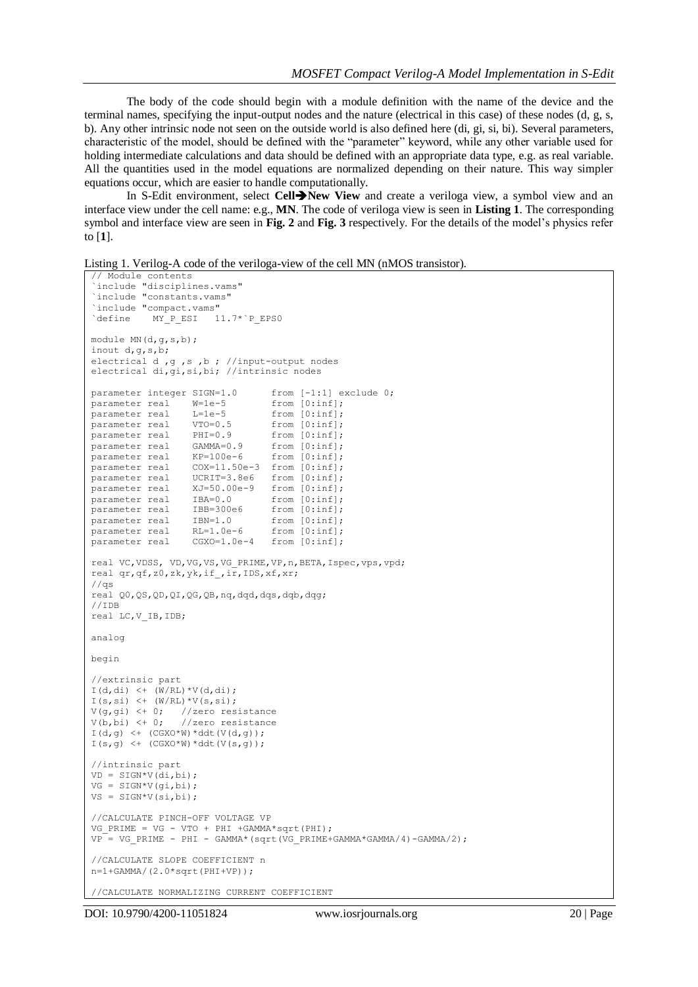The body of the code should begin with a module definition with the name of the device and the terminal names, specifying the input-output nodes and the nature (electrical in this case) of these nodes (d, g, s, b). Any other intrinsic node not seen on the outside world is also defined here (di, gi, si, bi). Several parameters, characteristic of the model, should be defined with the "parameter" keyword, while any other variable used for holding intermediate calculations and data should be defined with an appropriate data type, e.g. as real variable. All the quantities used in the model equations are normalized depending on their nature. This way simpler equations occur, which are easier to handle computationally.

In S-Edit environment, select **Cell>New View** and create a veriloga view, a symbol view and an interface view under the cell name: e.g., **MN**. The code of veriloga view is seen in **Listing 1**. The corresponding symbol and interface view are seen in **Fig. 2** and **Fig. 3** respectively. For the details of the model's physics refer to [**1**].

Listing 1. Verilog-A code of the veriloga-view of the cell MN (nMOS transistor).

```
// Module contents
 `include "disciplines.vams" 
`include "constants.vams"
`include "compact.vams"<br>
`define MY_P_ESI 1
         MY P ESI 11.7*`P EPSO
module MN(d,g,s,b);
inout d,g,s,b;
electrical d ,g ,s ,b ; //input-output nodes
electrical di,gi,si,bi; //intrinsic nodes
parameter integer SIGN=1.0 from [-1:1] exclude 0;
parameter real W=1e-5 from [0:inf];
parameter real L=1e-5 from [0:inf];<br>parameter real VTO=0.5 from [0:inf];
parameter real VTO=0.5parameter real PHI=0.9
parameter real PHI=0.9 from [0:inf];<br>parameter real GAMMA=0.9 from [0:inf];<br>parameter real KP=100e-6 from [0:inf];
parameter real KP=100e-6
parameter real  COX=11.50e-3 from [0:inf];
parameter real UCRIT=3.8e6 from [0:inf];
parameter real XJ=50.00e-9 from [0:inf]; 
parameter real IBA=0.0 from [0:inf];
parameter real IBA=0.0 110m [0:inf];<br>parameter real IBB=300e6 from [0:inf];<br>From [0:inf];
parameter real IBN=1.0 from [0:inf];
parameter real RL=1.0e-6 from [0:inf];
parameter real CGXO=1.0e-4 from [0:inf];
real VC,VDSS, VD,VG,VS,VG_PRIME,VP,n,BETA,Ispec,vps,vpd;
real qr,qf,z0,zk,yk,if_,ir,IDS,xf,xr;
//qs
real Q0,QS,QD,QI,QG,QB,nq,dqd,dqs,dqb,dqg;
//IDB
real LC,V_IB,IDB;
analog 
begin
//extrinsic part
I(d,di) < (W/RL) * V(d,di);
I(s,si) \leftarrow (W/RL) * V(s,si);
V(g,gi) <+ 0; //zero resistance
V(b, b_i) <+ 0; //zero resistance
I(d,q) <+ (CGXO*W)*ddt(V(d,q));I(s,g) <+ (CGXO*W)*ddt(V(s,g));//intrinsic part
VD = SIGN*V(di,bi);VG = SIGN*V(gi,bi);
VS = SIGN*V(si,bi);//CALCULATE PINCH-OFF VOLTAGE VP
VG PRIME = VG - VTO + PHI +GAMMA*sqrt(PHI);
VP^- = VG_PRIME - PHI - GAMMA*(sqrt(VG_PRIME+GAMMA*GAMMA/4)-GAMMA/2);
//CALCULATE SLOPE COEFFICIENT n
n=1+GAMMA/(2.0*sqrt(PHI+VP));
```
//CALCULATE NORMALIZING CURRENT COEFFICIENT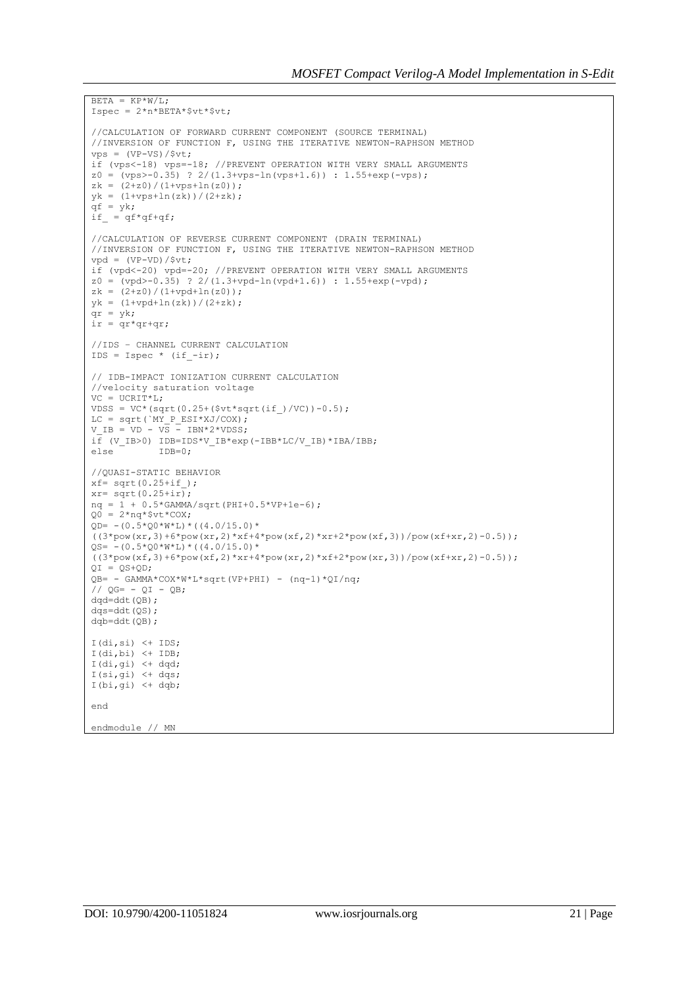```
BETA = KP*W/I.Ispec = 2*n*BERTA*$vt*$vt;//CALCULATION OF FORWARD CURRENT COMPONENT (SOURCE TERMINAL) 
//INVERSION OF FUNCTION F, USING THE ITERATIVE NEWTON-RAPHSON METHOD 
vps = (VP-VS)/$vt;if (vps<-18) vps=-18; //PREVENT OPERATION WITH VERY SMALL ARGUMENTS
z0 = (vps > -0.35) ? 2/(1.3+vps-ln(vps+1.6)) : 1.55+exp(-vps);
zk = (2+z0)/(1+vps+ln(z0));yk = (1+vps+ln(zk))/(2+zk);
qf = yk;if = qf*qf+qf;
//CALCULATION OF REVERSE CURRENT COMPONENT (DRAIN TERMINAL) 
//INVERSION OF FUNCTION F, USING THE ITERATIVE NEWTON-RAPHSON METHOD 
vpd = (VP-VD)/$vt;if (vpd<-20) vpd=-20; //PREVENT OPERATION WITH VERY SMALL ARGUMENTS
z0 = (vpd > -0.35) ? 2/(1.3+vpd - ln(vpd + 1.6)) : 1.55+exp(-vpd);
zk = (2+z0)/(1+vpd+ln(z0));yk = (1+vpd+ln(zk)) / (2+zk);qr = yk;ir = qr*qr+qr;
//IDS – CHANNEL CURRENT CALCULATION
IDS = Ispec * (if -ir);
// IDB-IMPACT IONIZATION CURRENT CALCULATION
//velocity saturation voltage
VC = UCRIT*L;VDSS = VC*(sqrt(0.25+(5vt*sqrt(if))/VC))-0.5);LC = sqrt(`MY P_ESI*XJ/COX);
V IB = VD - VS - IBN*2*VDSS;
i\bar{f} (V_IB>0) IDB=IDS*V_IB*exp(-IBB*LC/V_IB)*IBA/IBB;
else IDB=0;
//QUASI-STATIC BEHAVIOR
xf = sqrt(0.25 + if);
xr= sqrt(0.25+i\overline{r});nq = 1 + 0.5*GAMMA/sqrt(PHI+0.5*VP+1e-6);Q0 = 2*nq*$vt*COX;
QD= -(0.5*Q0*W*L)*( (4.0/15.0)*((3*pow(xr,3)+6*pow(xr,2)*xf+4*pow(xf,2)*xr+2*pow(xf,3))/pow(xf+xr,2)-0.5));QS = - (0.5 \times Q0 \times W \times L) \times ( (4.0/15.0) \times W \times L)((3*pow(xf,3)+6*pow(xf,2)*xr+4*pow(xr,2)*xf+2*pow(xr,3))/pow(xf+xr,2)-0.5));QI = QS+QD;QB= - GAMMA*COX*W*L*sqrt(VP+PHI) - (nq-1)*QI/nq;
// OG = - OI - OB;dad=ddt(OB);
dqs=ddt(QS);
dqb=ddt(QB);
I(di,si) \leftarrow IDS;
I(di,bi) <+ IDB;
I(di,gi) <+ dqd;
I(si,qi) \leftarrow dqs;
I(bi,gi) <+ dqb;
end
endmodule // MN
```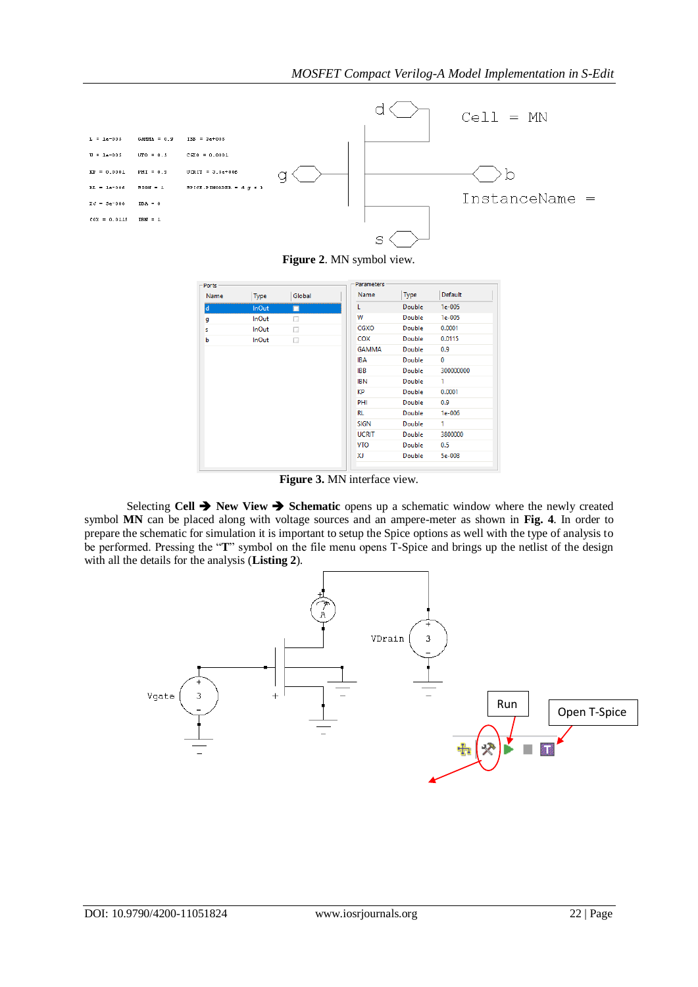

**Figure 2**. MN symbol view.

| Ports - |              |        | <b>Parameters</b> |        |              |
|---------|--------------|--------|-------------------|--------|--------------|
| Name    | Type         | Global | Name              | Type   | Default      |
| ld      | <b>InOut</b> | П      | L                 | Double | $1e-005$     |
| g       | <b>InOut</b> | □      | W                 | Double | $1e-005$     |
| s       | <b>InOut</b> | □      | CGXO              | Double | 0.0001       |
| b       | <b>InOut</b> | □      | COX               | Double | 0.0115       |
|         |              |        | <b>GAMMA</b>      | Double | 0.9          |
|         |              |        | <b>IBA</b>        | Double | $\mathbf{0}$ |
|         |              |        | <b>IBB</b>        | Double | 300000000    |
|         |              |        | <b>IBN</b>        | Double | 1            |
|         |              |        | KP                | Double | 0.0001       |
|         |              |        | PHI               | Double | 0.9          |
|         |              |        | RL                | Double | $1e-006$     |
|         |              |        | <b>SIGN</b>       | Double | 1            |
|         |              |        | <b>UCRIT</b>      | Double | 3800000      |
|         |              |        | <b>VTO</b>        | Double | 0.5          |
|         |              |        | XJ                | Double | 5e-008       |

**Figure 3.** MN interface view.

Selecting **Cell**  $\rightarrow$  **New View**  $\rightarrow$  **Schematic** opens up a schematic window where the newly created symbol **MN** can be placed along with voltage sources and an ampere-meter as shown in **Fig. 4**. In order to prepare the schematic for simulation it is important to setup the Spice options as well with the type of analysis to be performed. Pressing the "**T**" symbol on the file menu opens T-Spice and brings up the netlist of the design with all the details for the analysis (**Listing 2**).

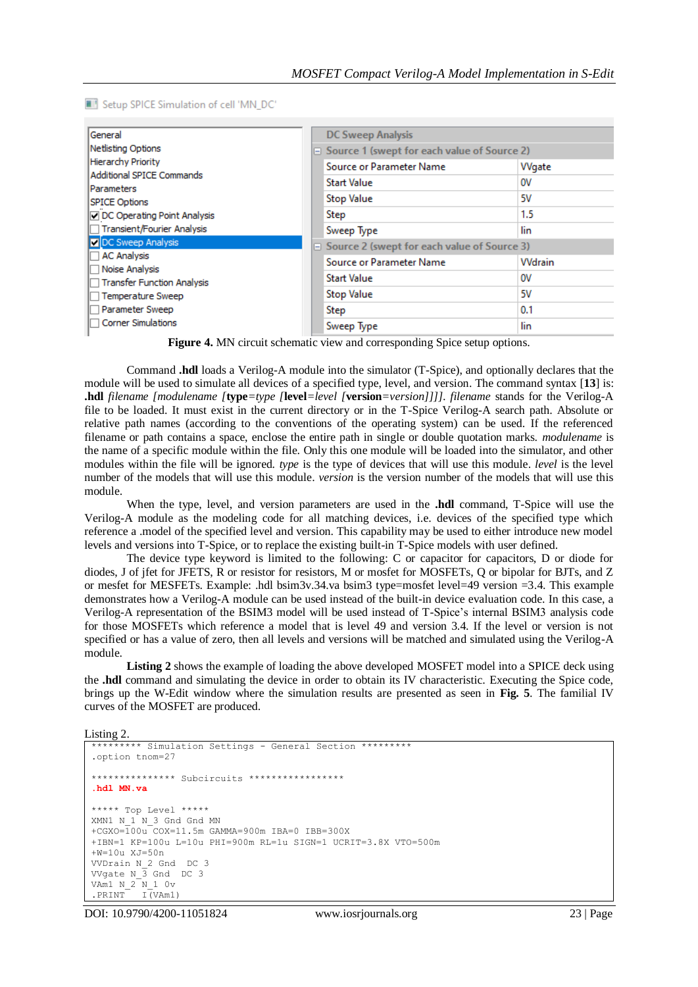Setup SPICE Simulation of cell 'MN\_DC'

| General<br>Netlisting Options<br><b>Hierarchy Priority</b><br><b>Additional SPICE Commands</b><br><b>IParameters</b> |  | <b>DC Sweep Analysis</b>                           |               |  |  |  |
|----------------------------------------------------------------------------------------------------------------------|--|----------------------------------------------------|---------------|--|--|--|
|                                                                                                                      |  | $\Box$ Source 1 (swept for each value of Source 2) |               |  |  |  |
|                                                                                                                      |  | <b>Source or Parameter Name</b>                    | Wgate         |  |  |  |
|                                                                                                                      |  | Start Value                                        | ov            |  |  |  |
| <b>SPICE Options</b>                                                                                                 |  | <b>Stop Value</b>                                  | 5۷            |  |  |  |
| DC Operating Point Analysis                                                                                          |  | Step                                               | 1.5           |  |  |  |
| Transient/Fourier Analysis                                                                                           |  | Sweep Type                                         | lin           |  |  |  |
| DC Sweep Analysis                                                                                                    |  | $\Box$ Source 2 (swept for each value of Source 3) |               |  |  |  |
| <b>AC Analysis</b><br>Noise Analysis                                                                                 |  | Source or Parameter Name                           | <b>Wdrain</b> |  |  |  |
| Transfer Function Analysis                                                                                           |  | <b>Start Value</b>                                 | ov            |  |  |  |
| Temperature Sweep                                                                                                    |  | <b>Stop Value</b>                                  | 5۷            |  |  |  |
| Parameter Sweep                                                                                                      |  | Step                                               | 0.1           |  |  |  |
| <b>Corner Simulations</b>                                                                                            |  | Sweep Type                                         | lin           |  |  |  |

**Figure 4.** MN circuit schematic view and corresponding Spice setup options.

 Command **.hdl** loads a Verilog-A module into the simulator (T-Spice), and optionally declares that the module will be used to simulate all devices of a specified type, level, and version. The command syntax [**13**] is: **.hdl** *filename [modulename [***type***=type [***level***=level [***version***=version]]]]. filename* stands for the Verilog-A file to be loaded. It must exist in the current directory or in the T-Spice Verilog-A search path. Absolute or relative path names (according to the conventions of the operating system) can be used. If the referenced filename or path contains a space, enclose the entire path in single or double quotation marks. *modulename* is the name of a specific module within the file. Only this one module will be loaded into the simulator, and other modules within the file will be ignored. *type* is the type of devices that will use this module. *level* is the level number of the models that will use this module. *version* is the version number of the models that will use this module.

When the type, level, and version parameters are used in the **.hdl** command, T-Spice will use the Verilog-A module as the modeling code for all matching devices, i.e. devices of the specified type which reference a .model of the specified level and version. This capability may be used to either introduce new model levels and versions into T-Spice, or to replace the existing built-in T-Spice models with user defined.

The device type keyword is limited to the following: C or capacitor for capacitors, D or diode for diodes, J of jfet for JFETS, R or resistor for resistors, M or mosfet for MOSFETs, Q or bipolar for BJTs, and Z or mesfet for MESFETs. Example: .hdl bsim3v.34.va bsim3 type=mosfet level=49 version =3.4. This example demonstrates how a Verilog-A module can be used instead of the built-in device evaluation code. In this case, a Verilog-A representation of the BSIM3 model will be used instead of T-Spice's internal BSIM3 analysis code for those MOSFETs which reference a model that is level 49 and version 3.4. If the level or version is not specified or has a value of zero, then all levels and versions will be matched and simulated using the Verilog-A module.

**Listing 2** shows the example of loading the above developed MOSFET model into a SPICE deck using the **.hdl** command and simulating the device in order to obtain its IV characteristic. Executing the Spice code, brings up the W-Edit window where the simulation results are presented as seen in **Fig. 5**. The familial IV curves of the MOSFET are produced.

Listing 2.

```
********* Simulation Settings - General Section *********
.option tnom=27
*************** Subcircuits *****************
.hdl MN.va
***** Top Level *****
XMN1 N_1 N_3 Gnd Gnd MN 
+CGXO=100u COX=11.5m GAMMA=900m IBA=0 IBB=300X 
+IBN=1 KP=100u L=10u PHI=900m RL=1u SIGN=1 UCRIT=3.8X VTO=500m 
+W=10u XJ=50n 
VVDrain N_2 Gnd DC 3 
VVgate N_3 Gnd DC 3 
VAm1 N_2 N_1 0v
.PRINT I(VAm1)
```